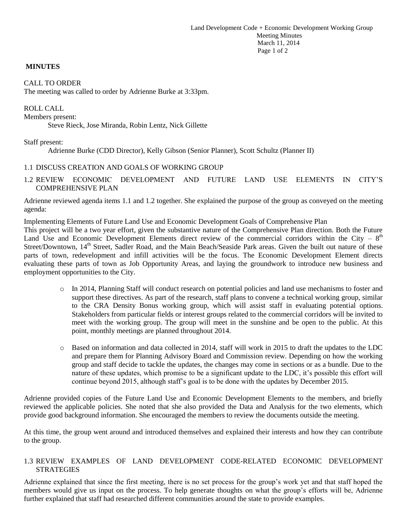#### **MINUTES**

#### CALL TO ORDER

The meeting was called to order by Adrienne Burke at 3:33pm.

ROLL CALL Members present: Steve Rieck, Jose Miranda, Robin Lentz, Nick Gillette

#### Staff present:

Adrienne Burke (CDD Director), Kelly Gibson (Senior Planner), Scott Schultz (Planner II)

### 1.1 DISCUSS CREATION AND GOALS OF WORKING GROUP

1.2 REVIEW ECONOMIC DEVELOPMENT AND FUTURE LAND USE ELEMENTS IN CITY'S COMPREHENSIVE PLAN

Adrienne reviewed agenda items 1.1 and 1.2 together. She explained the purpose of the group as conveyed on the meeting agenda:

Implementing Elements of Future Land Use and Economic Development Goals of Comprehensive Plan

This project will be a two year effort, given the substantive nature of the Comprehensive Plan direction. Both the Future Land Use and Economic Development Elements direct review of the commercial corridors within the City –  $8<sup>th</sup>$ Street/Downtown, 14<sup>th</sup> Street, Sadler Road, and the Main Beach/Seaside Park areas. Given the built out nature of these parts of town, redevelopment and infill activities will be the focus. The Economic Development Element directs evaluating these parts of town as Job Opportunity Areas, and laying the groundwork to introduce new business and employment opportunities to the City.

- o In 2014, Planning Staff will conduct research on potential policies and land use mechanisms to foster and support these directives. As part of the research, staff plans to convene a technical working group, similar to the CRA Density Bonus working group, which will assist staff in evaluating potential options. Stakeholders from particular fields or interest groups related to the commercial corridors will be invited to meet with the working group. The group will meet in the sunshine and be open to the public. At this point, monthly meetings are planned throughout 2014.
- o Based on information and data collected in 2014, staff will work in 2015 to draft the updates to the LDC and prepare them for Planning Advisory Board and Commission review. Depending on how the working group and staff decide to tackle the updates, the changes may come in sections or as a bundle. Due to the nature of these updates, which promise to be a significant update to the LDC, it's possible this effort will continue beyond 2015, although staff's goal is to be done with the updates by December 2015.

Adrienne provided copies of the Future Land Use and Economic Development Elements to the members, and briefly reviewed the applicable policies. She noted that she also provided the Data and Analysis for the two elements, which provide good background information. She encouraged the members to review the documents outside the meeting.

At this time, the group went around and introduced themselves and explained their interests and how they can contribute to the group.

### 1.3 REVIEW EXAMPLES OF LAND DEVELOPMENT CODE-RELATED ECONOMIC DEVELOPMENT **STRATEGIES**

Adrienne explained that since the first meeting, there is no set process for the group's work yet and that staff hoped the members would give us input on the process. To help generate thoughts on what the group's efforts will be, Adrienne further explained that staff had researched different communities around the state to provide examples.